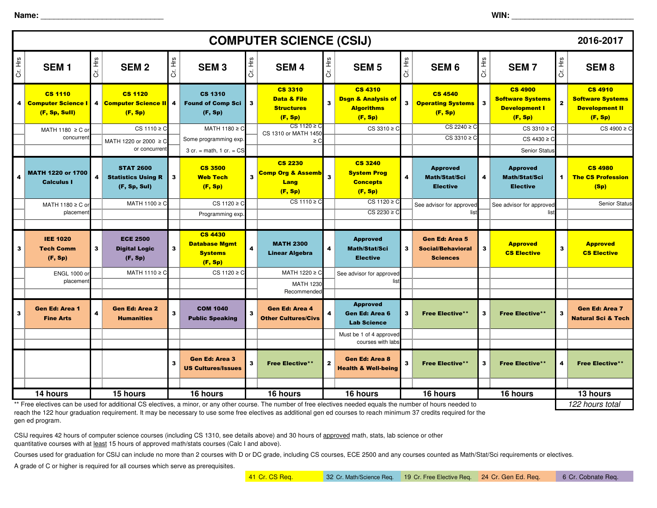**Name:** \_\_\_\_\_\_\_\_\_\_\_\_\_\_\_\_\_\_\_\_\_\_\_\_\_\_\_\_

| <b>COMPUTER SCIENCE (CSIJ)</b> |                                                                                                                                                                                                                                                                                   |         |                                                                                |                         |                                                                              |                         |                                                                          |                         |                                                                                 |         | 2016-2017                                                            |         |                                                                                    |              |                                                                               |
|--------------------------------|-----------------------------------------------------------------------------------------------------------------------------------------------------------------------------------------------------------------------------------------------------------------------------------|---------|--------------------------------------------------------------------------------|-------------------------|------------------------------------------------------------------------------|-------------------------|--------------------------------------------------------------------------|-------------------------|---------------------------------------------------------------------------------|---------|----------------------------------------------------------------------|---------|------------------------------------------------------------------------------------|--------------|-------------------------------------------------------------------------------|
| Cr. Hrs                        | SEM <sub>1</sub>                                                                                                                                                                                                                                                                  | Cr. Hrs | <b>SEM2</b>                                                                    | Cr. Hrs                 | <b>SEM3</b>                                                                  | Cr. Hrs                 | <b>SEM4</b>                                                              | Cr. Hrs                 | <b>SEM 5</b>                                                                    | Cr. Hrs | SEM <sub>6</sub>                                                     | Cr. Hrs | <b>SEM7</b>                                                                        | Cr. Hrs      | SEM <sub>8</sub>                                                              |
| 4                              | <b>CS 1110</b><br><b>Computer Science I</b><br>(F, Sp, Sull)                                                                                                                                                                                                                      |         | <b>CS 1120</b><br>4 Computer Science II<br>(F, Sp)                             | 4                       | <b>CS 1310</b><br><b>Found of Comp Sci</b><br>(F, Sp)                        | 3                       | <b>CS 3310</b><br><b>Data &amp; File</b><br><b>Structures</b><br>(F, Sp) | $\overline{\mathbf{3}}$ | <b>CS 4310</b><br><b>Dsgn &amp; Analysis of</b><br><b>Algorithms</b><br>(F, Sp) | 3       | <b>CS 4540</b><br><b>Operating Systems</b> 3<br>(F, Sp)              |         | <b>CS 4900</b><br><b>Software Systems</b><br><b>Development I</b><br>(F, Sp)       | $\mathbf{2}$ | <b>CS 4910</b><br><b>Software Systems</b><br><b>Development II</b><br>(F, Sp) |
|                                | MATH 1180 $\geq$ C or                                                                                                                                                                                                                                                             |         | $CS 1110 \geq C$                                                               |                         | $MATH$ 1180 ≥ C                                                              |                         | $CS 1120 \geq C$<br>CS 1310 or MATH 1450                                 |                         | $CS 3310 \ge C$                                                                 |         | $CS 2240 \ge C$                                                      |         | $CS 3310 \ge C$                                                                    |              | $CS 4900 \geq C$                                                              |
|                                | concurren                                                                                                                                                                                                                                                                         |         | MATH 1220 or 2000 ≥ C                                                          |                         | Some programming exp.                                                        |                         | $\geq C$                                                                 |                         |                                                                                 |         | $CS 3310 \geq C$                                                     |         | $CS 4430 \ge C$                                                                    |              |                                                                               |
| 4                              | <b>MATH 1220 or 1700</b><br><b>Calculus I</b>                                                                                                                                                                                                                                     | 4       | or concurrent<br><b>STAT 2600</b><br><b>Statistics Using R</b><br>(F, Sp, Sul) | 3                       | $3$ cr. = math, $1$ cr. = CS<br><b>CS 3500</b><br><b>Web Tech</b><br>(F, Sp) | $\mathbf{3}$            | <b>CS 2230</b><br><b>Comp Org &amp; Assemb</b><br><b>Lang</b><br>(F, Sp) | $\overline{\mathbf{3}}$ | <b>CS 3240</b><br><b>System Prog</b><br><b>Concepts</b><br>(F, Sp)              | 4       | <b>Approved</b><br><b>Math/Stat/Sci</b><br><b>Elective</b>           | 4       | <b>Senior Status</b><br><b>Approved</b><br><b>Math/Stat/Sci</b><br><b>Elective</b> | 1            | <b>CS 4980</b><br><b>The CS Profession</b><br>(Sp)                            |
|                                | MATH 1180 ≥ C or                                                                                                                                                                                                                                                                  |         | MATH 1100 ≥ C                                                                  |                         | $CS 1120 \geq C$                                                             |                         | CS 1110 $\geq$ C                                                         |                         | CS $1120 \ge C$                                                                 |         | See advisor for approved                                             |         | See advisor for approved                                                           |              | Senior Status                                                                 |
|                                | placemen                                                                                                                                                                                                                                                                          |         |                                                                                |                         | Programming exp.                                                             |                         |                                                                          |                         | $CS 2230 \ge C$                                                                 |         | list                                                                 |         |                                                                                    |              |                                                                               |
| 3                              | <b>IEE 1020</b><br><b>Tech Comm</b><br>(F, Sp)                                                                                                                                                                                                                                    | 3       | <b>ECE 2500</b><br><b>Digital Logic</b><br>(F, Sp)                             | 3                       | <b>CS 4430</b><br><b>Database Mgmt</b><br><b>Systems</b><br>(F, Sp)          | 4                       | <b>MATH 2300</b><br><b>Linear Algebra</b>                                | $\overline{\mathbf{4}}$ | <b>Approved</b><br><b>Math/Stat/Sci</b><br><b>Elective</b>                      | 3       | <b>Gen Ed: Area 5</b><br><b>Social/Behavioral</b><br><b>Sciences</b> | 3       | <b>Approved</b><br><b>CS Elective</b>                                              | 3            | <b>Approved</b><br><b>CS Elective</b>                                         |
|                                | <b>ENGL 1000 or</b>                                                                                                                                                                                                                                                               |         | MATH $1110 \ge C$                                                              |                         | $CS 1120 \geq C$                                                             |                         | MATH 1220 ≥ C                                                            |                         | See advisor for approved                                                        |         |                                                                      |         |                                                                                    |              |                                                                               |
|                                | placemen                                                                                                                                                                                                                                                                          |         |                                                                                |                         |                                                                              |                         | <b>MATH 1230</b><br>Recommended                                          |                         | list                                                                            |         |                                                                      |         |                                                                                    |              |                                                                               |
| 3                              | <b>Gen Ed: Area 1</b><br><b>Fine Arts</b>                                                                                                                                                                                                                                         | 4       | <b>Gen Ed: Area 2</b><br><b>Humanities</b>                                     | 3                       | <b>COM 1040</b><br><b>Public Speaking</b>                                    | $\mathbf{3}$            | <b>Gen Ed: Area 4</b><br><b>Other Cultures/Civs</b>                      | 4                       | <b>Approved</b><br><b>Gen Ed: Area 6</b><br><b>Lab Science</b>                  | 3       | <b>Free Elective**</b>                                               | 3       | <b>Free Elective**</b>                                                             | $\mathbf{3}$ | <b>Gen Ed: Area 7</b><br><b>Natural Sci &amp; Tech</b>                        |
|                                |                                                                                                                                                                                                                                                                                   |         |                                                                                |                         |                                                                              |                         |                                                                          |                         | Must be 1 of 4 approved                                                         |         |                                                                      |         |                                                                                    |              |                                                                               |
|                                |                                                                                                                                                                                                                                                                                   |         |                                                                                |                         |                                                                              |                         |                                                                          |                         | courses with labs                                                               |         |                                                                      |         |                                                                                    |              |                                                                               |
|                                |                                                                                                                                                                                                                                                                                   |         |                                                                                | $\overline{\mathbf{3}}$ | Gen Ed: Area 3<br><b>US Cultures/Issues</b>                                  | $\overline{\mathbf{3}}$ | <b>Free Elective**</b>                                                   | $\overline{\mathbf{2}}$ | <b>Gen Ed: Area 8</b><br><b>Health &amp; Well-being</b>                         | 3       | <b>Free Elective*</b>                                                | 3       | <b>Free Elective**</b>                                                             | 4            | <b>Free Elective**</b>                                                        |
|                                |                                                                                                                                                                                                                                                                                   |         |                                                                                |                         |                                                                              |                         |                                                                          |                         |                                                                                 |         |                                                                      |         |                                                                                    |              |                                                                               |
|                                | 14 hours<br>15 hours<br>16 hours<br>16 hours<br>16 hours<br>16 hours<br>16 hours<br>13 hours<br>122 hours total<br>Free electives can be used for additional CS electives, a minor, or any other course. The number of free electives needed equals the number of hours needed to |         |                                                                                |                         |                                                                              |                         |                                                                          |                         |                                                                                 |         |                                                                      |         |                                                                                    |              |                                                                               |

\*\* Free electives can be used for additional CS electives, a minor, or any other course. The number of free electives needed equals the number of hours needed to reach the 122 hour graduation requirement. It may be necessary to use some free electives as additional gen ed courses to reach minimum 37 credits required for the gen ed program.

CSIJ requires 42 hours of computer science courses (including CS 1310, see details above) and 30 hours of approved math, stats, lab science or other quantitative courses with at least 15 hours of approved math/stats courses (Calc I and above).

Courses used for graduation for CSIJ can include no more than 2 courses with D or DC grade, including CS courses, ECE 2500 and any courses counted as Math/Stat/Sci requirements or electives.

A grade of C or higher is required for all courses which serve as prerequisites.